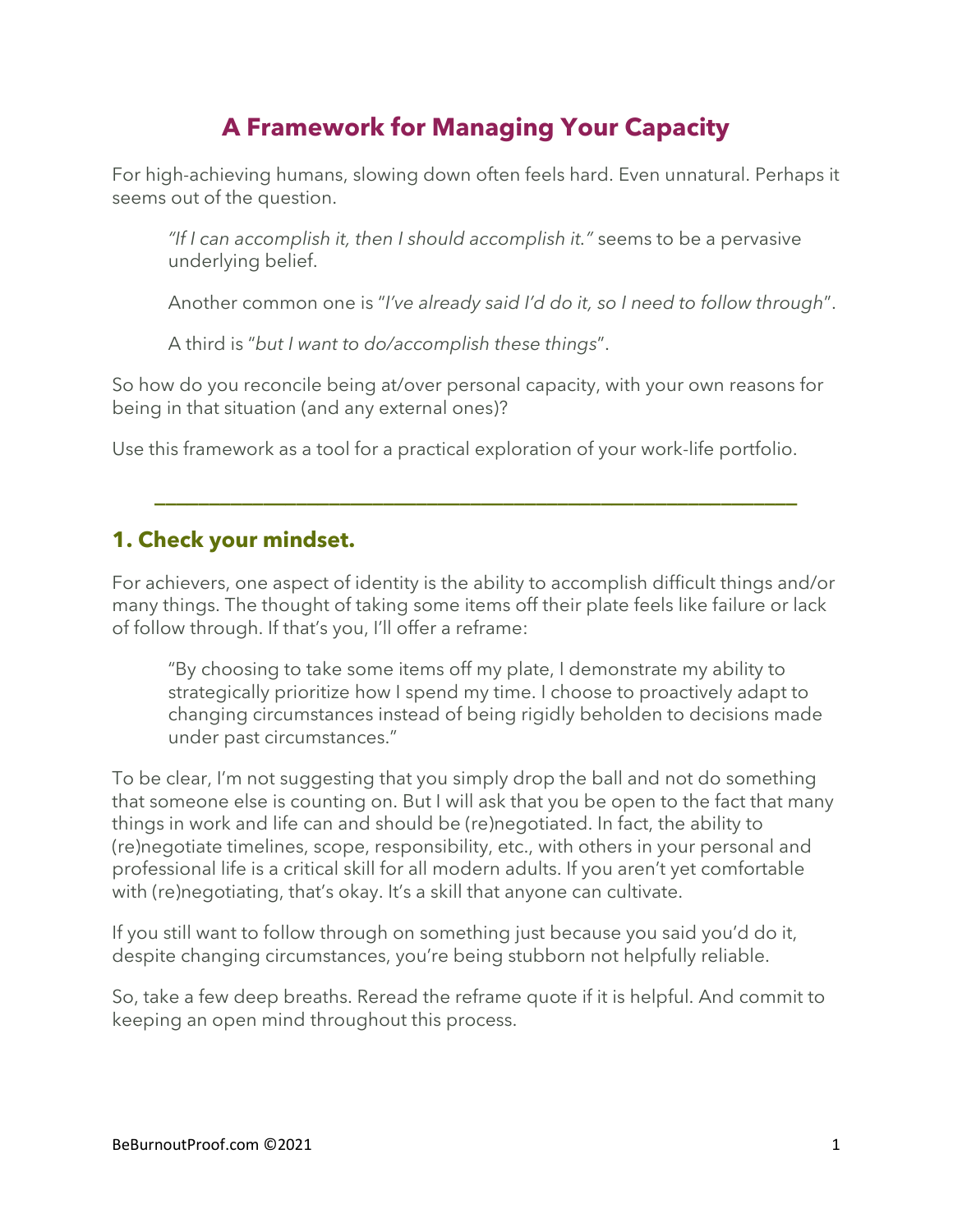# **A Framework for Managing Your Capacity**

For high-achieving humans, slowing down often feels hard. Even unnatural. Perhaps it seems out of the question.

*"If I can accomplish it, then I should accomplish it."* seems to be a pervasive underlying belief.

Another common one is "*I've already said I'd do it, so I need to follow through*".

A third is "*but I want to do/accomplish these things*".

So how do you reconcile being at/over personal capacity, with your own reasons for being in that situation (and any external ones)?

Use this framework as a tool for a practical exploration of your work-life portfolio.

#### **1. Check your mindset.**

For achievers, one aspect of identity is the ability to accomplish difficult things and/or many things. The thought of taking some items off their plate feels like failure or lack of follow through. If that's you, I'll offer a reframe:

**\_\_\_\_\_\_\_\_\_\_\_\_\_\_\_\_\_\_\_\_\_\_\_\_\_\_\_\_\_\_\_\_\_\_\_\_\_\_\_\_\_\_\_\_\_\_\_\_\_\_\_\_\_\_\_\_\_\_\_**

"By choosing to take some items off my plate, I demonstrate my ability to strategically prioritize how I spend my time. I choose to proactively adapt to changing circumstances instead of being rigidly beholden to decisions made under past circumstances."

To be clear, I'm not suggesting that you simply drop the ball and not do something that someone else is counting on. But I will ask that you be open to the fact that many things in work and life can and should be (re)negotiated. In fact, the ability to (re)negotiate timelines, scope, responsibility, etc., with others in your personal and professional life is a critical skill for all modern adults. If you aren't yet comfortable with (re)negotiating, that's okay. It's a skill that anyone can cultivate.

If you still want to follow through on something just because you said you'd do it, despite changing circumstances, you're being stubborn not helpfully reliable.

So, take a few deep breaths. Reread the reframe quote if it is helpful. And commit to keeping an open mind throughout this process.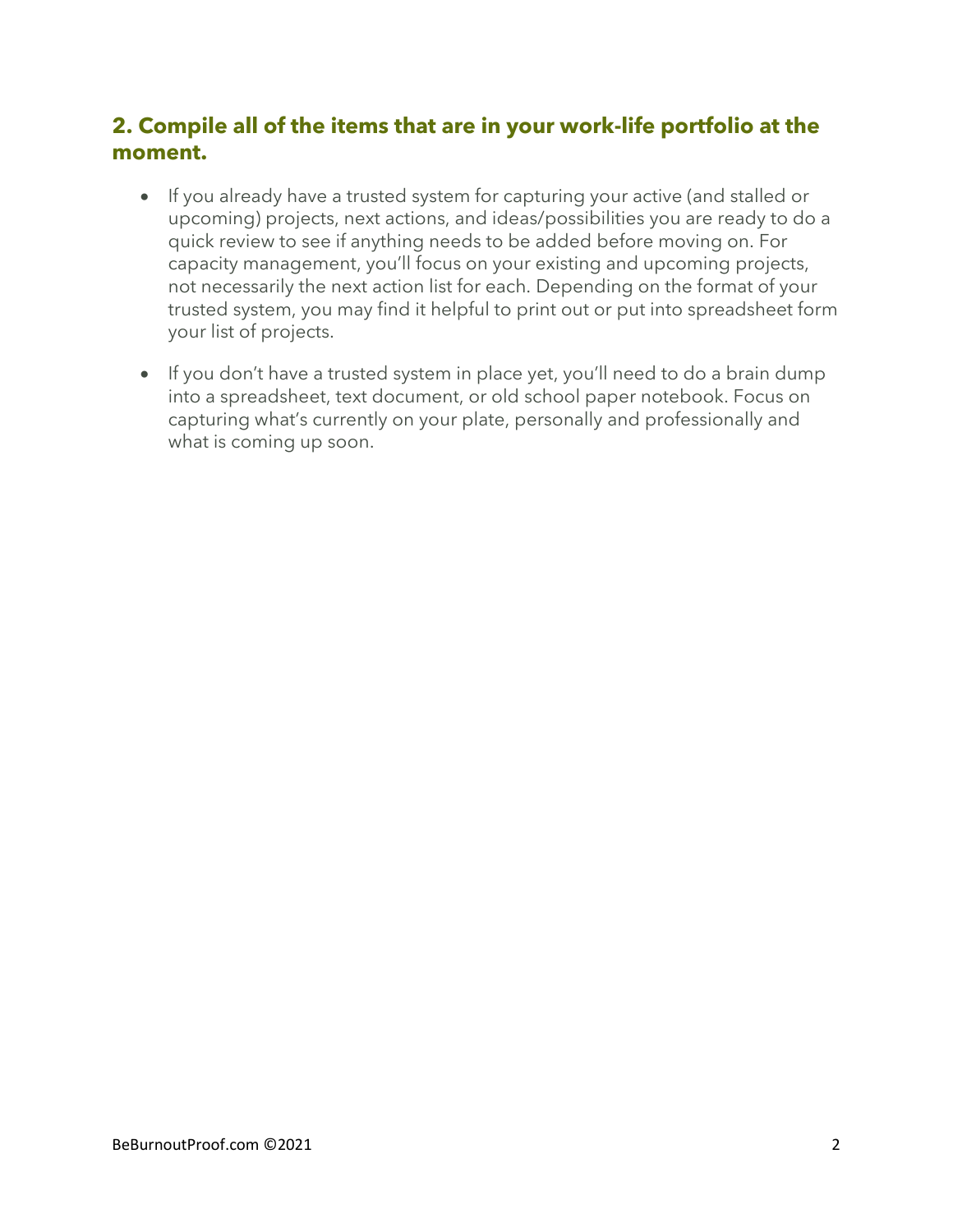# **2. Compile all of the items that are in your work-life portfolio at the moment.**

- If you already have a trusted system for capturing your active (and stalled or upcoming) projects, next actions, and ideas/possibilities you are ready to do a quick review to see if anything needs to be added before moving on. For capacity management, you'll focus on your existing and upcoming projects, not necessarily the next action list for each. Depending on the format of your trusted system, you may find it helpful to print out or put into spreadsheet form your list of projects.
- If you don't have a trusted system in place yet, you'll need to do a brain dump into a spreadsheet, text document, or old school paper notebook. Focus on capturing what's currently on your plate, personally and professionally and what is coming up soon.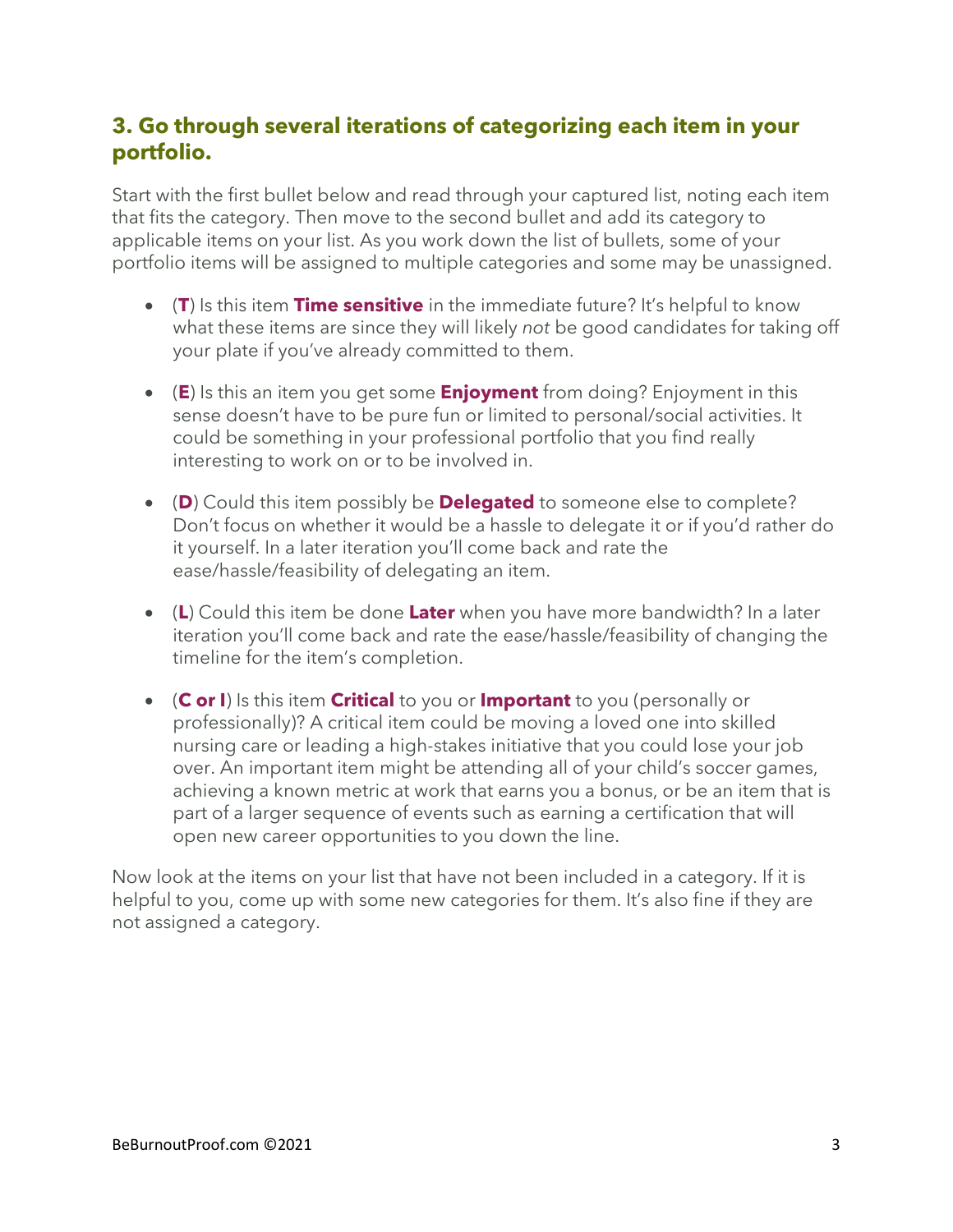# **3. Go through several iterations of categorizing each item in your portfolio.**

Start with the first bullet below and read through your captured list, noting each item that fits the category. Then move to the second bullet and add its category to applicable items on your list. As you work down the list of bullets, some of your portfolio items will be assigned to multiple categories and some may be unassigned.

- (**T**) Is this item **Time sensitive** in the immediate future? It's helpful to know what these items are since they will likely *not* be good candidates for taking off your plate if you've already committed to them.
- (**E**) Is this an item you get some **Enjoyment** from doing? Enjoyment in this sense doesn't have to be pure fun or limited to personal/social activities. It could be something in your professional portfolio that you find really interesting to work on or to be involved in.
- (**D**) Could this item possibly be **Delegated** to someone else to complete? Don't focus on whether it would be a hassle to delegate it or if you'd rather do it yourself. In a later iteration you'll come back and rate the ease/hassle/feasibility of delegating an item.
- (**L**) Could this item be done **Later** when you have more bandwidth? In a later iteration you'll come back and rate the ease/hassle/feasibility of changing the timeline for the item's completion.
- (**C or I**) Is this item **Critical** to you or **Important** to you (personally or professionally)? A critical item could be moving a loved one into skilled nursing care or leading a high-stakes initiative that you could lose your job over. An important item might be attending all of your child's soccer games, achieving a known metric at work that earns you a bonus, or be an item that is part of a larger sequence of events such as earning a certification that will open new career opportunities to you down the line.

Now look at the items on your list that have not been included in a category. If it is helpful to you, come up with some new categories for them. It's also fine if they are not assigned a category.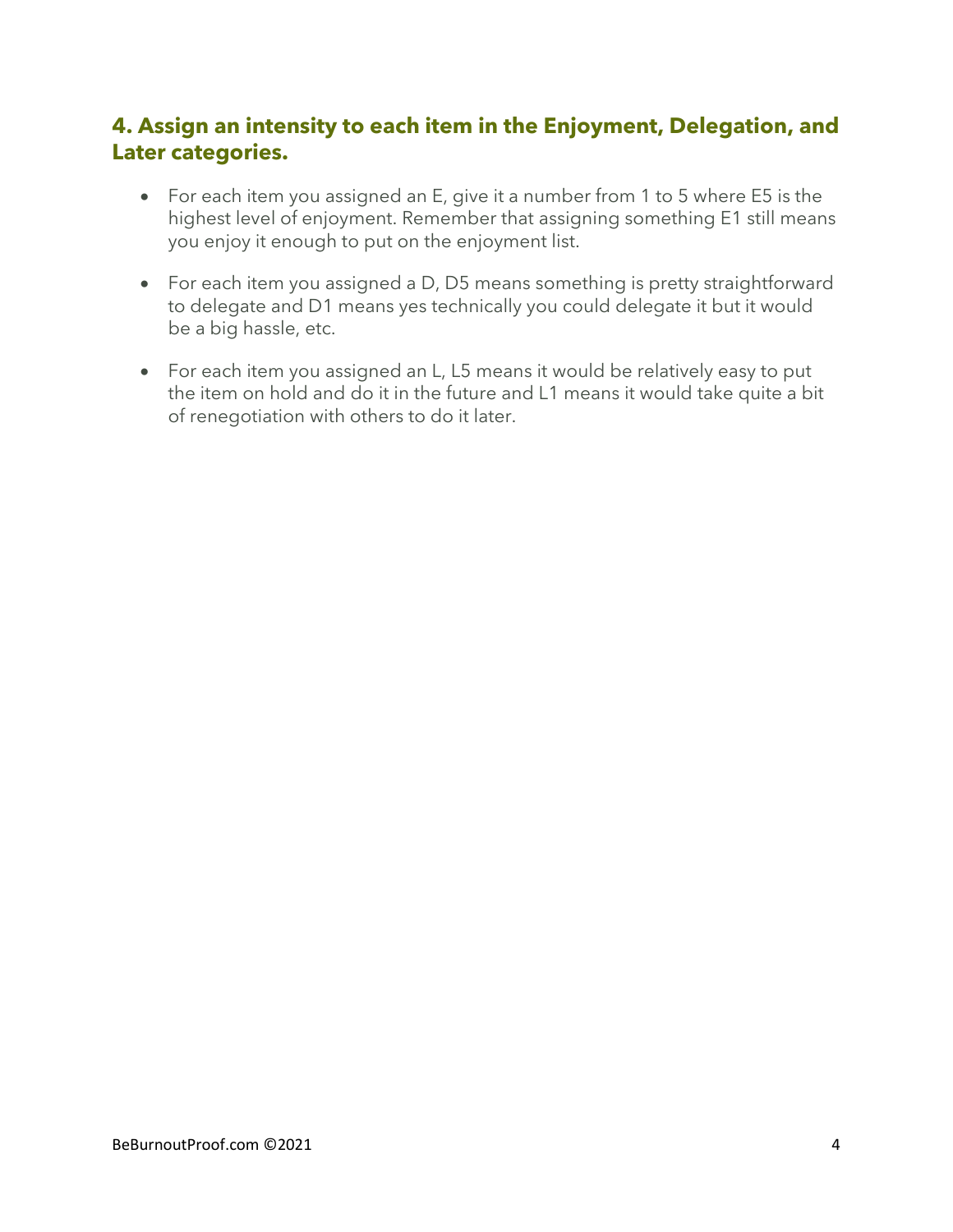# **4. Assign an intensity to each item in the Enjoyment, Delegation, and Later categories.**

- For each item you assigned an E, give it a number from 1 to 5 where E5 is the highest level of enjoyment. Remember that assigning something E1 still means you enjoy it enough to put on the enjoyment list.
- For each item you assigned a D, D5 means something is pretty straightforward to delegate and D1 means yes technically you could delegate it but it would be a big hassle, etc.
- For each item you assigned an L, L5 means it would be relatively easy to put the item on hold and do it in the future and L1 means it would take quite a bit of renegotiation with others to do it later.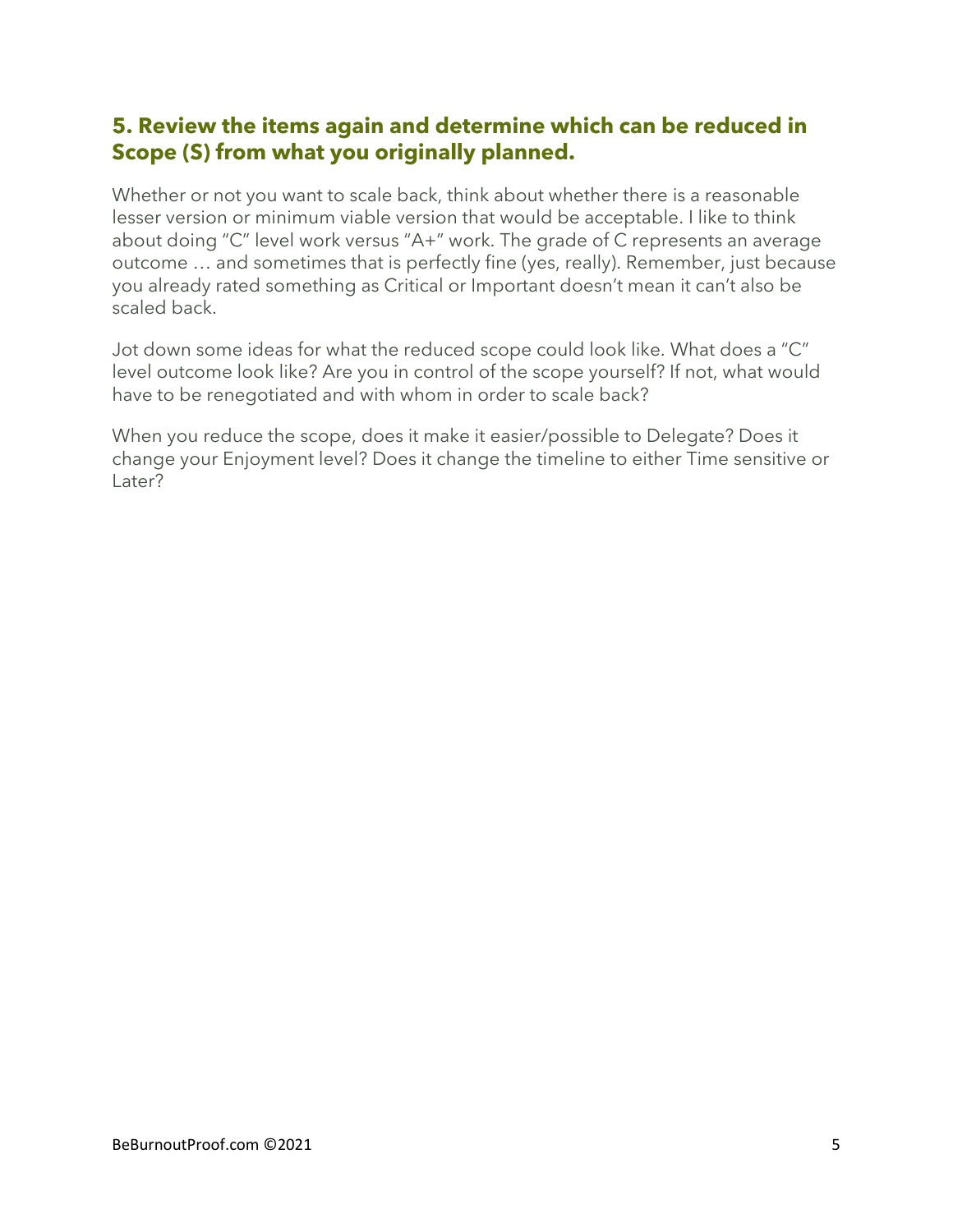### **5. Review the items again and determine which can be reduced in Scope (S) from what you originally planned.**

Whether or not you want to scale back, think about whether there is a reasonable lesser version or minimum viable version that would be acceptable. I like to think about doing "C" level work versus "A+" work. The grade of C represents an average outcome … and sometimes that is perfectly fine (yes, really). Remember, just because you already rated something as Critical or Important doesn't mean it can't also be scaled back.

Jot down some ideas for what the reduced scope could look like. What does a "C" level outcome look like? Are you in control of the scope yourself? If not, what would have to be renegotiated and with whom in order to scale back?

When you reduce the scope, does it make it easier/possible to Delegate? Does it change your Enjoyment level? Does it change the timeline to either Time sensitive or Later?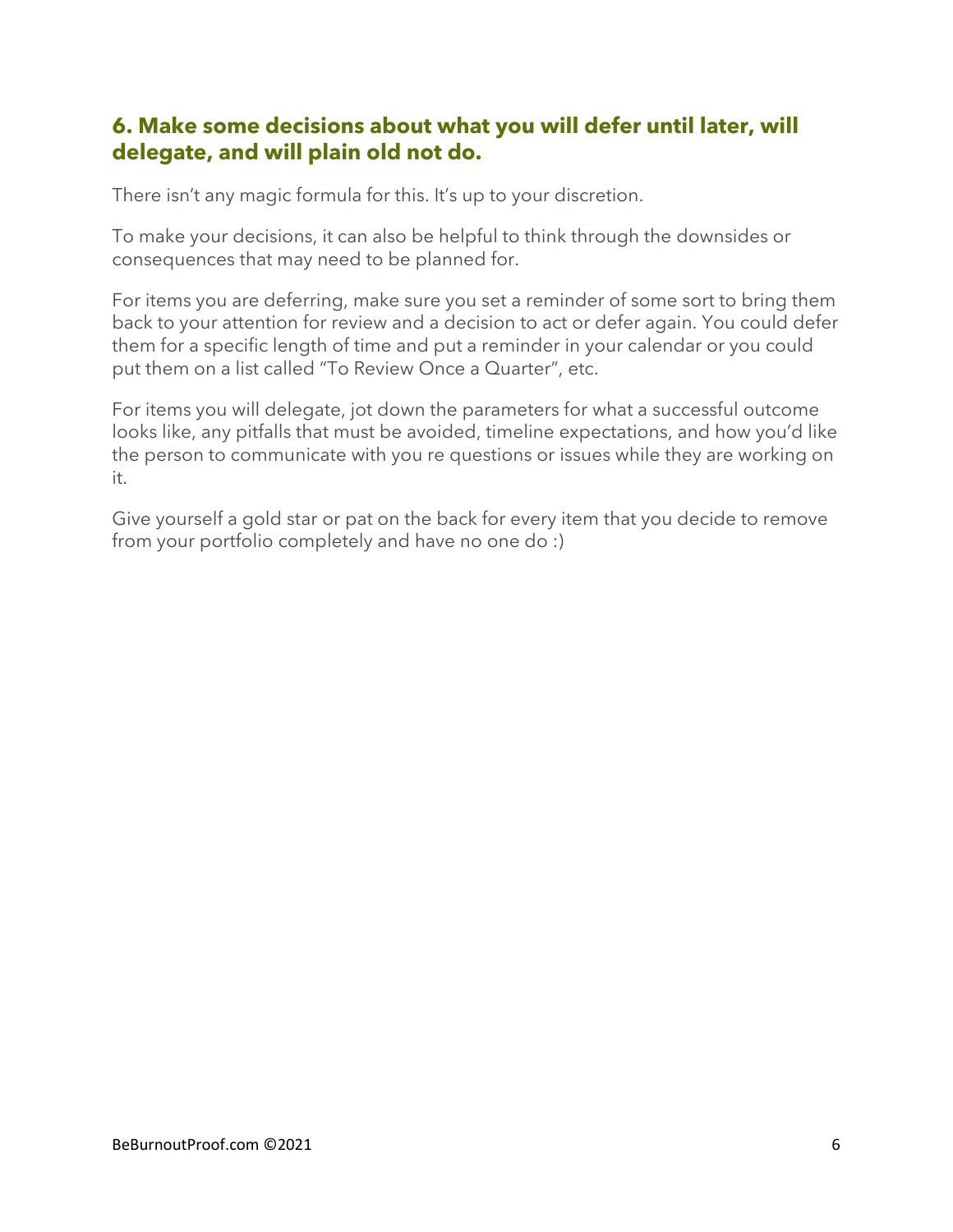### **6. Make some decisions about what you will defer until later, will delegate, and will plain old not do.**

There isn't any magic formula for this. It's up to your discretion.

To make your decisions, it can also be helpful to think through the downsides or consequences that may need to be planned for.

For items you are deferring, make sure you set a reminder of some sort to bring them back to your attention for review and a decision to act or defer again. You could defer them for a specific length of time and put a reminder in your calendar or you could put them on a list called "To Review Once a Quarter", etc.

For items you will delegate, jot down the parameters for what a successful outcome looks like, any pitfalls that must be avoided, timeline expectations, and how you'd like the person to communicate with you re questions or issues while they are working on it.

Give yourself a gold star or pat on the back for every item that you decide to remove from your portfolio completely and have no one do :)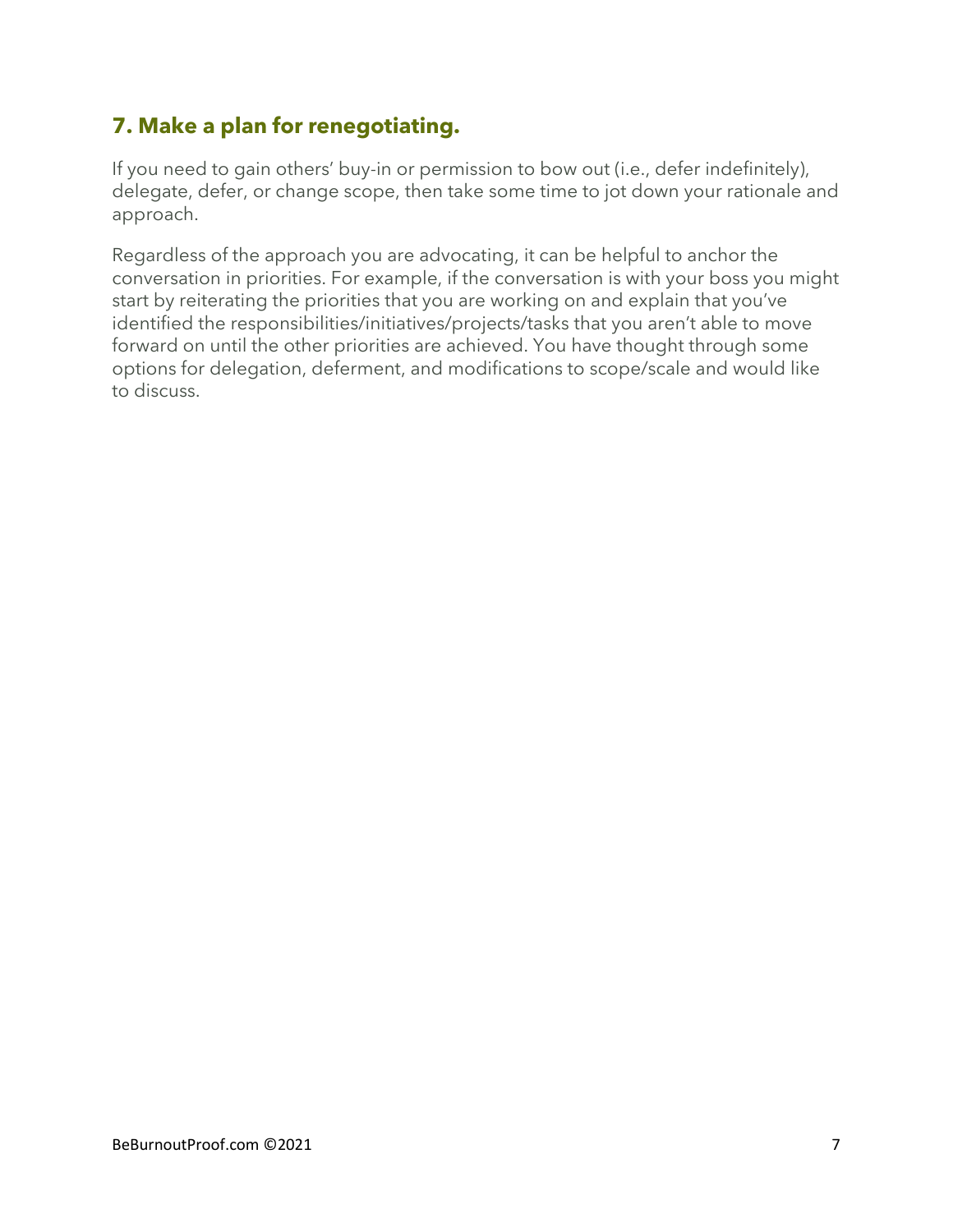# **7. Make a plan for renegotiating.**

If you need to gain others' buy-in or permission to bow out (i.e., defer indefinitely), delegate, defer, or change scope, then take some time to jot down your rationale and approach.

Regardless of the approach you are advocating, it can be helpful to anchor the conversation in priorities. For example, if the conversation is with your boss you might start by reiterating the priorities that you are working on and explain that you've identified the responsibilities/initiatives/projects/tasks that you aren't able to move forward on until the other priorities are achieved. You have thought through some options for delegation, deferment, and modifications to scope/scale and would like to discuss.